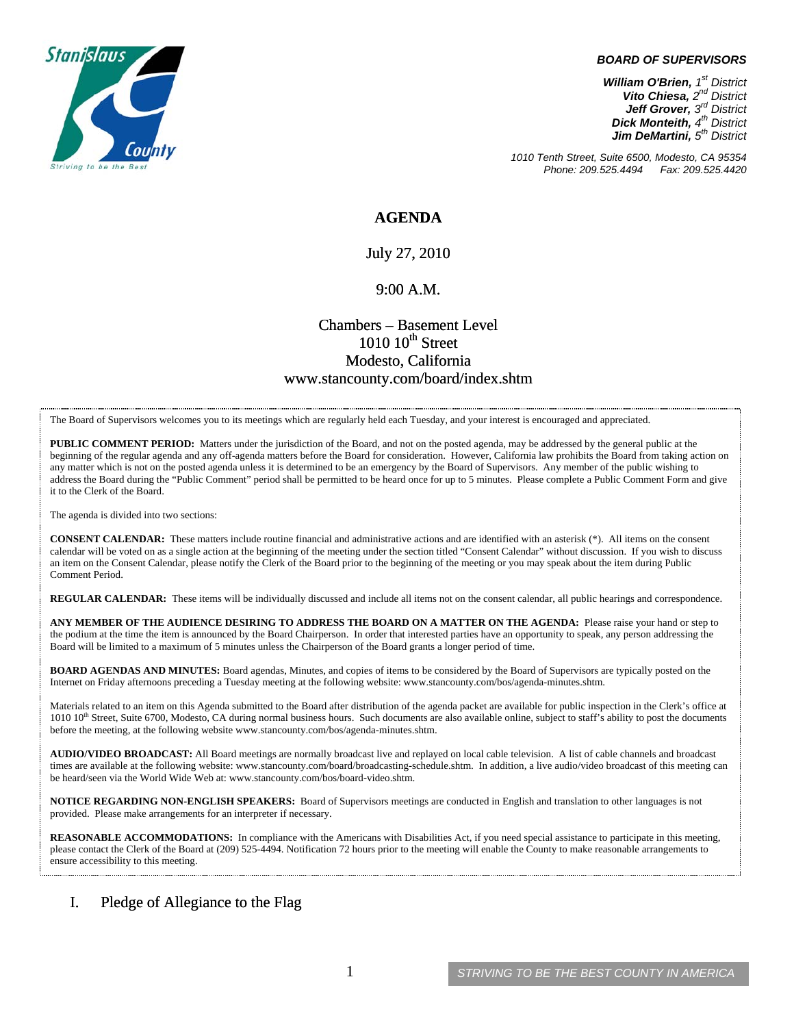

#### *BOARD OF SUPERVISORS*

*William O'Brien, 1st District Vito Chiesa, 2nd District Jeff Grover, 3rd District Dick Monteith, 4th District Jim DeMartini, 5th District*

*1010 Tenth Street, Suite 6500, Modesto, CA 95354 Phone: 209.525.4494* 

# **AGENDA**

July 27, 2010

### 9:00 A.M.

# Chambers – Basement Level  $1010~10$ <sup>th</sup> Street Modesto, California www.stancounty.com/board/index.shtm

The Board of Supervisors welcomes you to its meetings which are regularly held each Tuesday, and your interest is encouraged and appreciated.

**PUBLIC COMMENT PERIOD:** Matters under the jurisdiction of the Board, and not on the posted agenda, may be addressed by the general public at the beginning of the regular agenda and any off-agenda matters before the Board for consideration. However, California law prohibits the Board from taking action on any matter which is not on the posted agenda unless it is determined to be an emergency by the Board of Supervisors. Any member of the public wishing to address the Board during the "Public Comment" period shall be permitted to be heard once for up to 5 minutes. Please complete a Public Comment Form and give it to the Clerk of the Board.

The agenda is divided into two sections:

**CONSENT CALENDAR:** These matters include routine financial and administrative actions and are identified with an asterisk (\*). All items on the consent calendar will be voted on as a single action at the beginning of the meeting under the section titled "Consent Calendar" without discussion. If you wish to discuss an item on the Consent Calendar, please notify the Clerk of the Board prior to the beginning of the meeting or you may speak about the item during Public Comment Period.

**REGULAR CALENDAR:** These items will be individually discussed and include all items not on the consent calendar, all public hearings and correspondence.

**ANY MEMBER OF THE AUDIENCE DESIRING TO ADDRESS THE BOARD ON A MATTER ON THE AGENDA:** Please raise your hand or step to the podium at the time the item is announced by the Board Chairperson. In order that interested parties have an opportunity to speak, any person addressing the Board will be limited to a maximum of 5 minutes unless the Chairperson of the Board grants a longer period of time.

**BOARD AGENDAS AND MINUTES:** Board agendas, Minutes, and copies of items to be considered by the Board of Supervisors are typically posted on the Internet on Friday afternoons preceding a Tuesday meeting at the following website: www.stancounty.com/bos/agenda-minutes.shtm.

Materials related to an item on this Agenda submitted to the Board after distribution of the agenda packet are available for public inspection in the Clerk's office at 1010 10<sup>th</sup> Street, Suite 6700, Modesto, CA during normal business hours. Such documents are also available online, subject to staff's ability to post the documents before the meeting, at the following website www.stancounty.com/bos/agenda-minutes.shtm.

**AUDIO/VIDEO BROADCAST:** All Board meetings are normally broadcast live and replayed on local cable television. A list of cable channels and broadcast times are available at the following website: www.stancounty.com/board/broadcasting-schedule.shtm. In addition, a live audio/video broadcast of this meeting can be heard/seen via the World Wide Web at: www.stancounty.com/bos/board-video.shtm.

**NOTICE REGARDING NON-ENGLISH SPEAKERS:** Board of Supervisors meetings are conducted in English and translation to other languages is not provided. Please make arrangements for an interpreter if necessary.

**REASONABLE ACCOMMODATIONS:** In compliance with the Americans with Disabilities Act, if you need special assistance to participate in this meeting, please contact the Clerk of the Board at (209) 525-4494. Notification 72 hours prior to the meeting will enable the County to make reasonable arrangements to ensure accessibility to this meeting.

## I. Pledge of Allegiance to the Flag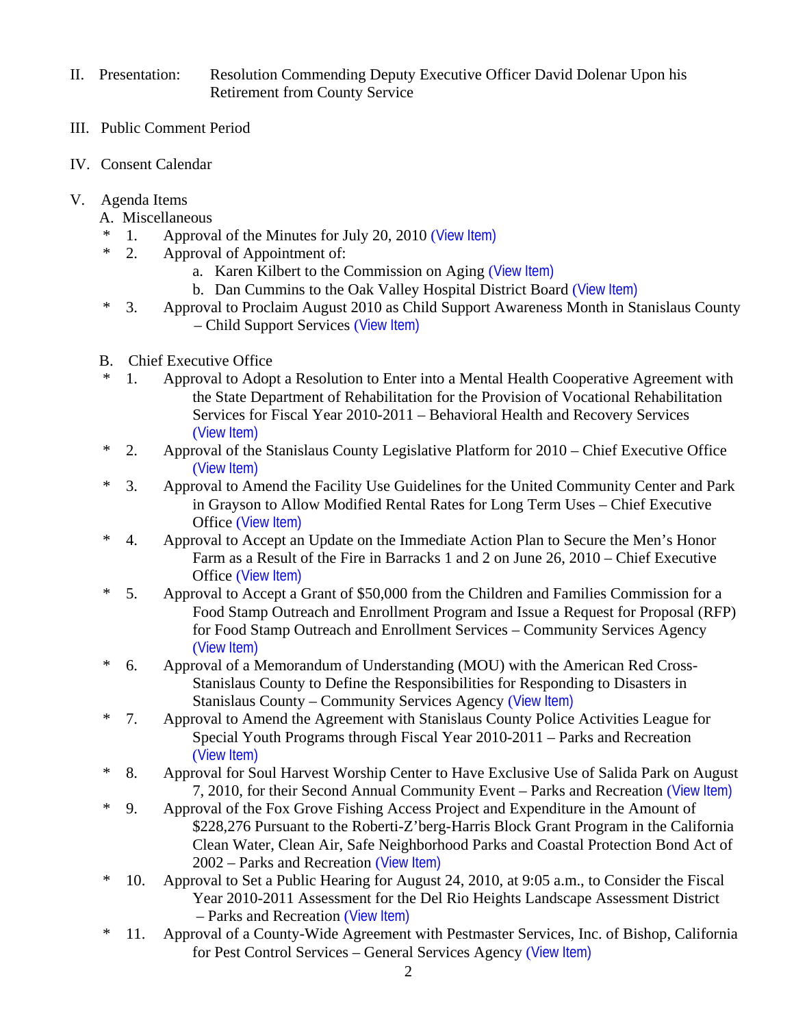- II. Presentation: Resolution Commending Deputy Executive Officer David Dolenar Upon his Retirement from County Service
- III. Public Comment Period
- IV. Consent Calendar
- V. Agenda Items
	- A. Miscellaneous
	- 1. Approval of the Minutes for July 20, 2010 ([View Item\)](http://www.stancounty.com/bos/minutes/2010/min07-20-10.pdf)
	- \* 2. Approval of Appointment of:
		- a. Karen Kilbert to the Commission on Aging ([View Item\)](http://www.stancounty.com/bos/agenda/2010/20100727/A02a.pdf)
		- b. Dan Cummins to the Oak Valley Hospital District Board ([View Item\)](http://www.stancounty.com/bos/agenda/2010/20100727/A02b.pdf)
	- \* 3. Approval to Proclaim August 2010 as Child Support Awareness Month in Stanislaus County – Child Support Services ([View Item\)](http://www.stancounty.com/bos/agenda/2010/20100727/A03.pdf)
	- B. Chief Executive Office
	- \* 1. Approval to Adopt a Resolution to Enter into a Mental Health Cooperative Agreement with the State Department of Rehabilitation for the Provision of Vocational Rehabilitation Services for Fiscal Year 2010-2011 – Behavioral Health and Recovery Services ([View Item\)](http://www.stancounty.com/bos/agenda/2010/20100727/B01.pdf)
	- \* 2. Approval of the Stanislaus County Legislative Platform for 2010 Chief Executive Office ([View Item\)](http://www.stancounty.com/bos/agenda/2010/20100727/B02.pdf)
	- \* 3. Approval to Amend the Facility Use Guidelines for the United Community Center and Park in Grayson to Allow Modified Rental Rates for Long Term Uses – Chief Executive Office ([View Item\)](http://www.stancounty.com/bos/agenda/2010/20100727/B03.pdf)
	- \* 4. Approval to Accept an Update on the Immediate Action Plan to Secure the Men's Honor Farm as a Result of the Fire in Barracks 1 and 2 on June 26, 2010 – Chief Executive Office ([View Item\)](http://www.stancounty.com/bos/agenda/2010/20100727/B04.pdf)
	- \* 5. Approval to Accept a Grant of \$50,000 from the Children and Families Commission for a Food Stamp Outreach and Enrollment Program and Issue a Request for Proposal (RFP) for Food Stamp Outreach and Enrollment Services – Community Services Agency ([View Item\)](http://www.stancounty.com/bos/agenda/2010/20100727/B05.pdf)
	- \* 6. Approval of a Memorandum of Understanding (MOU) with the American Red Cross-Stanislaus County to Define the Responsibilities for Responding to Disasters in Stanislaus County – Community Services Agency ([View Item\)](http://www.stancounty.com/bos/agenda/2010/20100727/B06.pdf)
	- \* 7. Approval to Amend the Agreement with Stanislaus County Police Activities League for Special Youth Programs through Fiscal Year 2010-2011 – Parks and Recreation ([View Item\)](http://www.stancounty.com/bos/agenda/2010/20100727/B07.pdf)
	- \* 8. Approval for Soul Harvest Worship Center to Have Exclusive Use of Salida Park on August 7, 2010, for their Second Annual Community Event – Parks and Recreation ([View Item\)](http://www.stancounty.com/bos/agenda/2010/20100727/B08.pdf)
	- \* 9. Approval of the Fox Grove Fishing Access Project and Expenditure in the Amount of \$228,276 Pursuant to the Roberti-Z'berg-Harris Block Grant Program in the California Clean Water, Clean Air, Safe Neighborhood Parks and Coastal Protection Bond Act of 2002 – Parks and Recreation ([View Item\)](http://www.stancounty.com/bos/agenda/2010/20100727/B09.pdf)
	- \* 10. Approval to Set a Public Hearing for August 24, 2010, at 9:05 a.m., to Consider the Fiscal Year 2010-2011 Assessment for the Del Rio Heights Landscape Assessment District – Parks and Recreation ([View Item\)](http://www.stancounty.com/bos/agenda/2010/20100727/B10.pdf)
	- \* 11. Approval of a County-Wide Agreement with Pestmaster Services, Inc. of Bishop, California for Pest Control Services – General Services Agency ([View Item\)](http://www.stancounty.com/bos/agenda/2010/20100727/B11.pdf)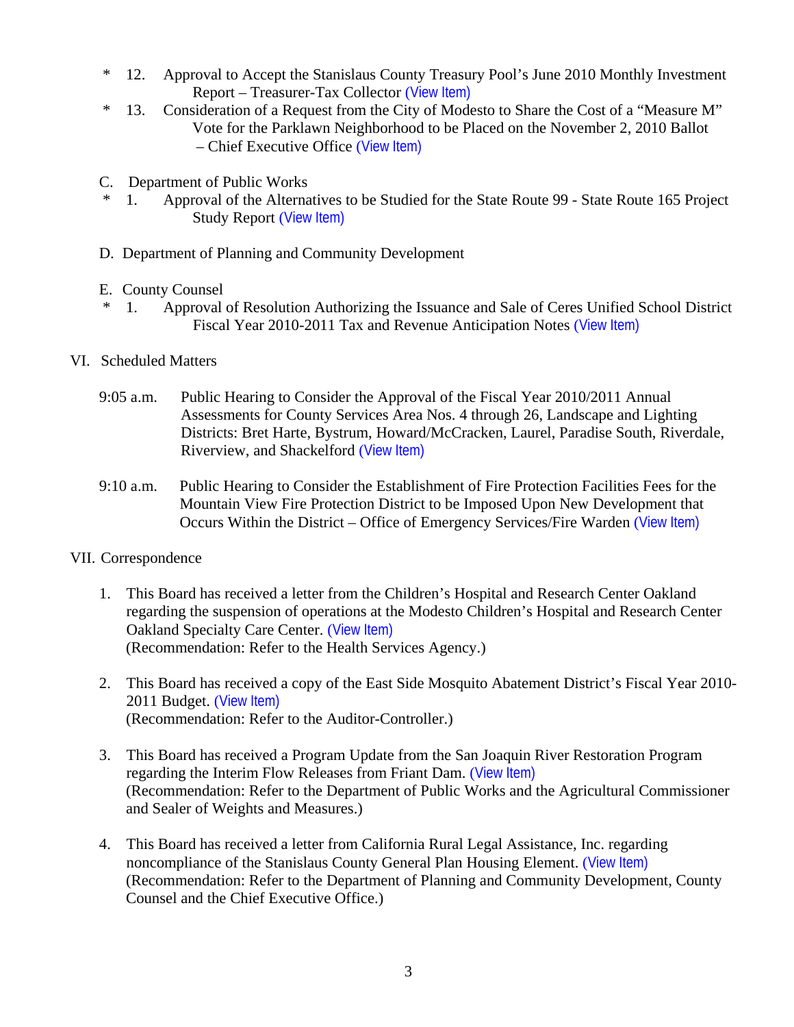- \* 12. Approval to Accept the Stanislaus County Treasury Pool's June 2010 Monthly Investment Report – Treasurer-Tax Collector ([View Item\)](http://www.stancounty.com/bos/agenda/2010/20100727/B12.pdf)
- \* 13. Consideration of a Request from the City of Modesto to Share the Cost of a "Measure M" Vote for the Parklawn Neighborhood to be Placed on the November 2, 2010 Ballot – Chief Executive Office ([View Item\)](http://www.stancounty.com/bos/agenda/2010/20100727/B13.pdf)
- C. Department of Public Works
- \* 1. Approval of the Alternatives to be Studied for the State Route 99 State Route 165 Project Study Report ([View Item\)](http://www.stancounty.com/bos/agenda/2010/20100727/C01.pdf)
- D. Department of Planning and Community Development
- E. County Counsel
- \* 1. Approval of Resolution Authorizing the Issuance and Sale of Ceres Unified School District Fiscal Year 2010-2011 Tax and Revenue Anticipation Notes ([View Item\)](http://www.stancounty.com/bos/agenda/2010/20100727/E01.pdf)
- VI. Scheduled Matters
	- 9:05 a.m. Public Hearing to Consider the Approval of the Fiscal Year 2010/2011 Annual Assessments for County Services Area Nos. 4 through 26, Landscape and Lighting Districts: Bret Harte, Bystrum, Howard/McCracken, Laurel, Paradise South, Riverdale, Riverview, and Shackelford ([View Item\)](http://www.stancounty.com/bos/agenda/2010/20100727/PH905.pdf)
	- 9:10 a.m. Public Hearing to Consider the Establishment of Fire Protection Facilities Fees for the Mountain View Fire Protection District to be Imposed Upon New Development that Occurs Within the District – Office of Emergency Services/Fire Warden ([View Item\)](http://www.stancounty.com/bos/agenda/2010/20100727/PH910.pdf)
- VII. Correspondence
	- 1. This Board has received a letter from the Children's Hospital and Research Center Oakland regarding the suspension of operations at the Modesto Children's Hospital and Research Center Oakland Specialty Care Center. ([View Item\)](http://www.stancounty.com/bos/agenda/2010/20100727/Corr01.pdf) (Recommendation: Refer to the Health Services Agency.)
	- 2. This Board has received a copy of the East Side Mosquito Abatement District's Fiscal Year 2010- 2011 Budget. ([View Item\)](http://www.stancounty.com/bos/agenda/2010/20100727/Corr02.pdf) (Recommendation: Refer to the Auditor-Controller.)
	- 3. This Board has received a Program Update from the San Joaquin River Restoration Program regarding the Interim Flow Releases from Friant Dam. ([View Item\)](http://www.stancounty.com/bos/agenda/2010/20100727/Corr03.pdf) (Recommendation: Refer to the Department of Public Works and the Agricultural Commissioner and Sealer of Weights and Measures.)
	- 4. This Board has received a letter from California Rural Legal Assistance, Inc. regarding noncompliance of the Stanislaus County General Plan Housing Element. ([View Item\)](http://www.stancounty.com/bos/agenda/2010/20100727/Corr04.pdf) (Recommendation: Refer to the Department of Planning and Community Development, County Counsel and the Chief Executive Office.)